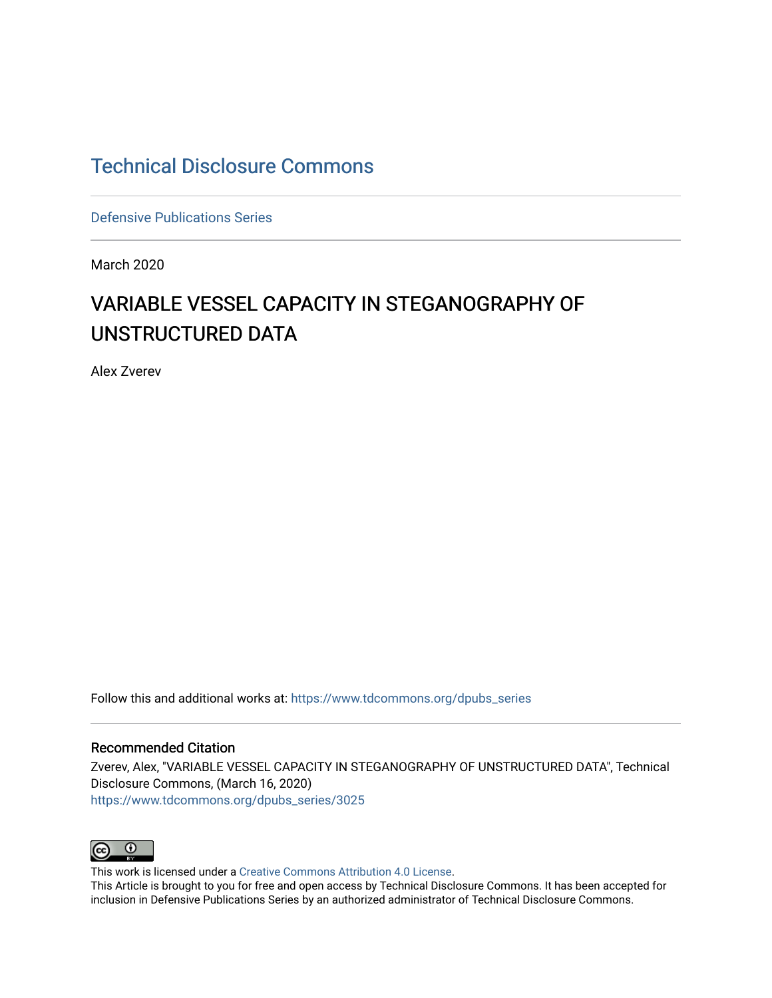# [Technical Disclosure Commons](https://www.tdcommons.org/)

[Defensive Publications Series](https://www.tdcommons.org/dpubs_series)

March 2020

# VARIABLE VESSEL CAPACITY IN STEGANOGRAPHY OF UNSTRUCTURED DATA

Alex Zverev

Follow this and additional works at: [https://www.tdcommons.org/dpubs\\_series](https://www.tdcommons.org/dpubs_series?utm_source=www.tdcommons.org%2Fdpubs_series%2F3025&utm_medium=PDF&utm_campaign=PDFCoverPages) 

#### Recommended Citation

Zverev, Alex, "VARIABLE VESSEL CAPACITY IN STEGANOGRAPHY OF UNSTRUCTURED DATA", Technical Disclosure Commons, (March 16, 2020) [https://www.tdcommons.org/dpubs\\_series/3025](https://www.tdcommons.org/dpubs_series/3025?utm_source=www.tdcommons.org%2Fdpubs_series%2F3025&utm_medium=PDF&utm_campaign=PDFCoverPages)



This work is licensed under a [Creative Commons Attribution 4.0 License](http://creativecommons.org/licenses/by/4.0/deed.en_US).

This Article is brought to you for free and open access by Technical Disclosure Commons. It has been accepted for inclusion in Defensive Publications Series by an authorized administrator of Technical Disclosure Commons.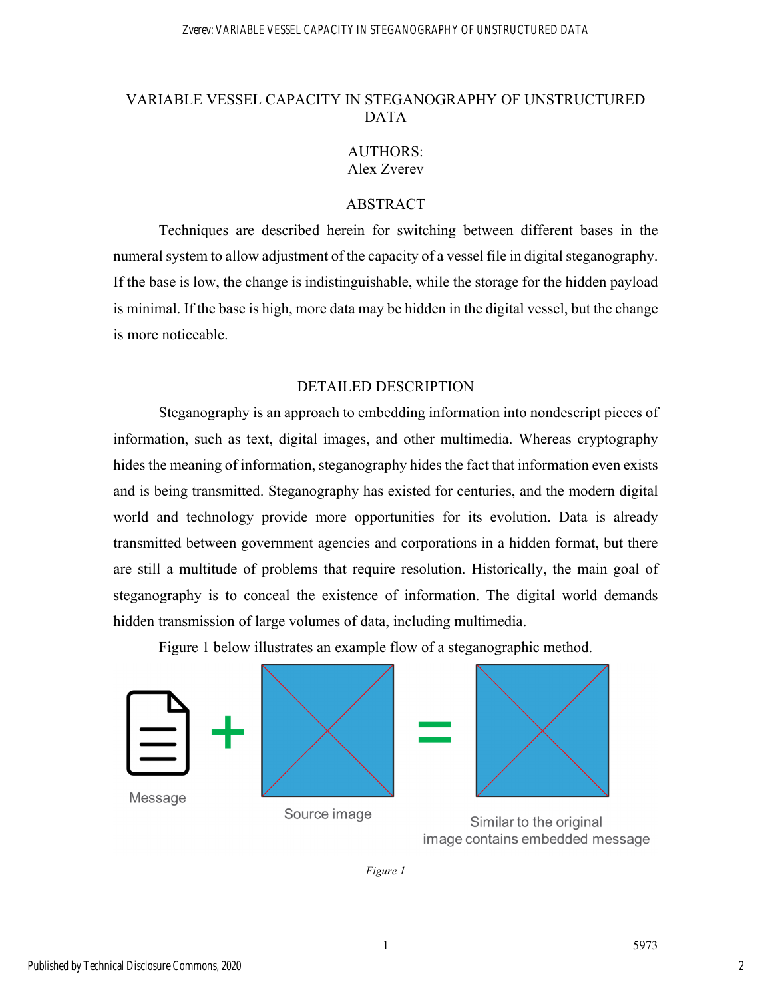#### Zverev: VARIABLE VESSEL CAPACITY IN STEGANOGRAPHY OF UNSTRUCTURED DATA

# VARIABLE VESSEL CAPACITY IN STEGANOGRAPHY OF UNSTRUCTURED DATA

# AUTHORS: Alex Zverev

### ABSTRACT

Techniques are described herein for switching between different bases in the numeral system to allow adjustment of the capacity of a vessel file in digital steganography. If the base is low, the change is indistinguishable, while the storage for the hidden payload is minimal. If the base is high, more data may be hidden in the digital vessel, but the change is more noticeable.

## DETAILED DESCRIPTION

Steganography is an approach to embedding information into nondescript pieces of information, such as text, digital images, and other multimedia. Whereas cryptography hides the meaning of information, steganography hides the fact that information even exists and is being transmitted. Steganography has existed for centuries, and the modern digital world and technology provide more opportunities for its evolution. Data is already transmitted between government agencies and corporations in a hidden format, but there are still a multitude of problems that require resolution. Historically, the main goal of steganography is to conceal the existence of information. The digital world demands hidden transmission of large volumes of data, including multimedia.

Figure 1 below illustrates an example flow of a steganographic method.



image contains embedded message

*Figure 1*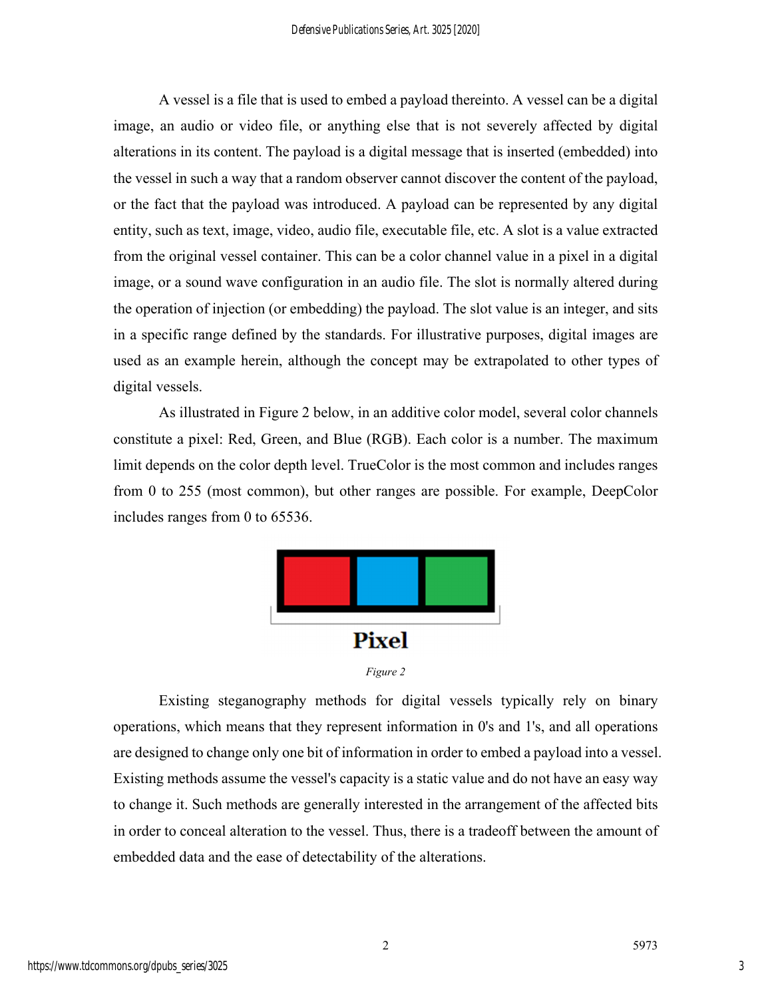A vessel is a file that is used to embed a payload thereinto. A vessel can be a digital image, an audio or video file, or anything else that is not severely affected by digital alterations in its content. The payload is a digital message that is inserted (embedded) into the vessel in such a way that a random observer cannot discover the content of the payload, or the fact that the payload was introduced. A payload can be represented by any digital entity, such as text, image, video, audio file, executable file, etc. A slot is a value extracted from the original vessel container. This can be a color channel value in a pixel in a digital image, or a sound wave configuration in an audio file. The slot is normally altered during the operation of injection (or embedding) the payload. The slot value is an integer, and sits in a specific range defined by the standards. For illustrative purposes, digital images are used as an example herein, although the concept may be extrapolated to other types of digital vessels.

As illustrated in Figure 2 below, in an additive color model, several color channels constitute a pixel: Red, Green, and Blue (RGB). Each color is a number. The maximum limit depends on the color depth level. TrueColor is the most common and includes ranges from 0 to 255 (most common), but other ranges are possible. For example, DeepColor includes ranges from 0 to 65536.



*Figure 2* 

Existing steganography methods for digital vessels typically rely on binary operations, which means that they represent information in 0's and 1's, and all operations are designed to change only one bit of information in order to embed a payload into a vessel. Existing methods assume the vessel's capacity is a static value and do not have an easy way to change it. Such methods are generally interested in the arrangement of the affected bits in order to conceal alteration to the vessel. Thus, there is a tradeoff between the amount of embedded data and the ease of detectability of the alterations.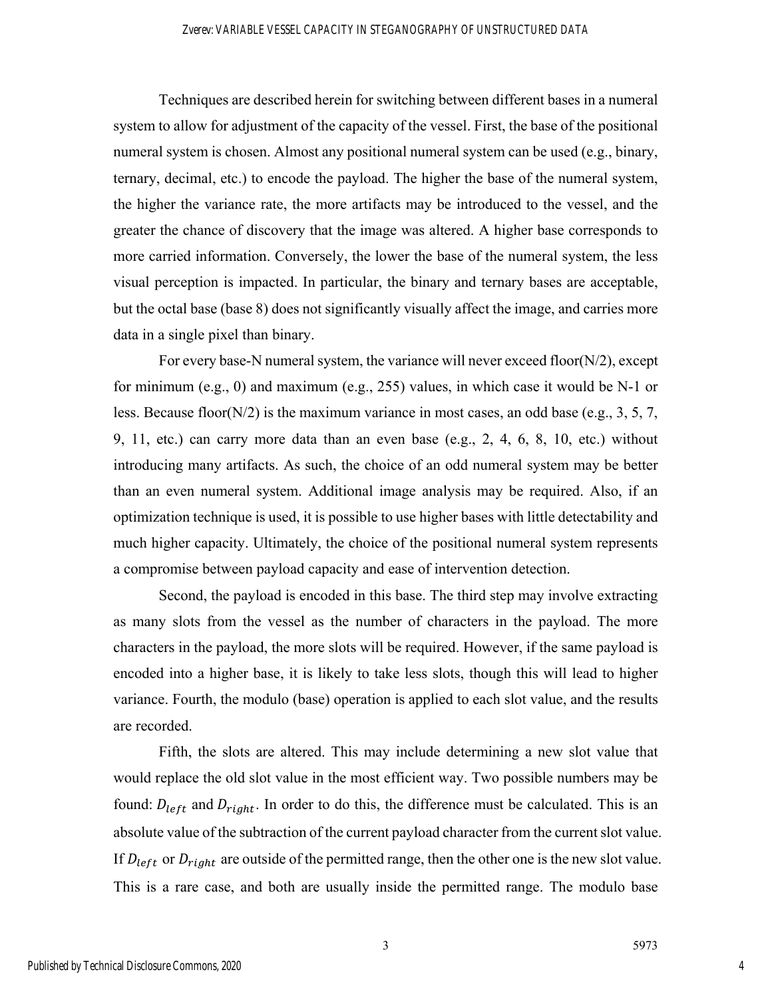Techniques are described herein for switching between different bases in a numeral system to allow for adjustment of the capacity of the vessel. First, the base of the positional numeral system is chosen. Almost any positional numeral system can be used (e.g., binary, ternary, decimal, etc.) to encode the payload. The higher the base of the numeral system, the higher the variance rate, the more artifacts may be introduced to the vessel, and the greater the chance of discovery that the image was altered. A higher base corresponds to more carried information. Conversely, the lower the base of the numeral system, the less visual perception is impacted. In particular, the binary and ternary bases are acceptable, but the octal base (base 8) does not significantly visually affect the image, and carries more data in a single pixel than binary.

For every base-N numeral system, the variance will never exceed floor(N/2), except for minimum (e.g., 0) and maximum (e.g., 255) values, in which case it would be N-1 or less. Because floor( $N/2$ ) is the maximum variance in most cases, an odd base (e.g., 3, 5, 7, 9, 11, etc.) can carry more data than an even base (e.g., 2, 4, 6, 8, 10, etc.) without introducing many artifacts. As such, the choice of an odd numeral system may be better than an even numeral system. Additional image analysis may be required. Also, if an optimization technique is used, it is possible to use higher bases with little detectability and much higher capacity. Ultimately, the choice of the positional numeral system represents a compromise between payload capacity and ease of intervention detection.

Second, the payload is encoded in this base. The third step may involve extracting as many slots from the vessel as the number of characters in the payload. The more characters in the payload, the more slots will be required. However, if the same payload is encoded into a higher base, it is likely to take less slots, though this will lead to higher variance. Fourth, the modulo (base) operation is applied to each slot value, and the results are recorded.

Fifth, the slots are altered. This may include determining a new slot value that would replace the old slot value in the most efficient way. Two possible numbers may be found:  $D_{left}$  and  $D_{right}$ . In order to do this, the difference must be calculated. This is an absolute value of the subtraction of the current payload character from the current slot value. If  $D_{left}$  or  $D_{right}$  are outside of the permitted range, then the other one is the new slot value. This is a rare case, and both are usually inside the permitted range. The modulo base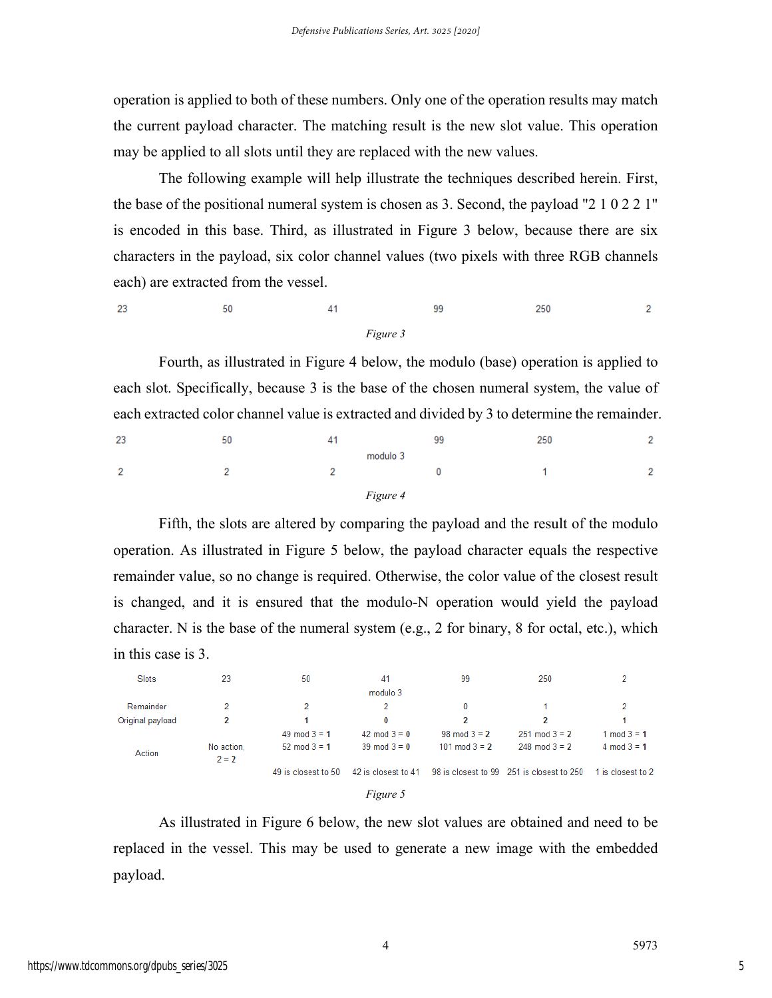operation is applied to both of these numbers. Only one of the operation results may match the current payload character. The matching result is the new slot value. This operation may be applied to all slots until they are replaced with the new values.

The following example will help illustrate the techniques described herein. First, the base of the positional numeral system is chosen as 3. Second, the payload "2 1 0 2 2 1" is encoded in this base. Third, as illustrated in Figure 3 below, because there are six characters in the payload, six color channel values (two pixels with three RGB channels each) are extracted from the vessel.

| 23 | 50 | д        | 99 | 250 | $\sim$<br>- |
|----|----|----------|----|-----|-------------|
|    |    | Figure 3 |    |     |             |

Fourth, as illustrated in Figure 4 below, the modulo (base) operation is applied to each slot. Specifically, because 3 is the base of the chosen numeral system, the value of each extracted color channel value is extracted and divided by 3 to determine the remainder.

| 23             | 50 |          | 99 | 250 | n      |
|----------------|----|----------|----|-----|--------|
|                |    | modulo 3 |    |     |        |
| $\overline{2}$ |    |          |    |     | $\sim$ |
|                |    | Figure 4 |    |     |        |

Fifth, the slots are altered by comparing the payload and the result of the modulo operation. As illustrated in Figure 5 below, the payload character equals the respective remainder value, so no change is required. Otherwise, the color value of the closest result is changed, and it is ensured that the modulo-N operation would yield the payload character. N is the base of the numeral system (e.g., 2 for binary, 8 for octal, etc.), which in this case is 3.

| Slots            | 23                    | 50                      | 41                  | 99              | 250                                       |                   |
|------------------|-----------------------|-------------------------|---------------------|-----------------|-------------------------------------------|-------------------|
|                  |                       |                         | modulo 3            |                 |                                           |                   |
| Remainder        | 2                     | 2                       | 2                   | 0               |                                           | 2                 |
| Original payload | 2                     |                         | 0                   | 2               | 2                                         |                   |
|                  |                       | 49 mod $3 = 1$          | 42 mod $3 = 0$      | $98 \mod 3 = 2$ | $251 \mod 3 = 2$                          | 1 mod $3 = 1$     |
| Action           | No action,<br>$2 = 2$ | $52 \text{ mod } 3 = 1$ | $39 \mod 3 = 0$     | 101 mod $3 = 2$ | $248 \mod 3 = 2$                          | 4 mod $3 = 1$     |
|                  |                       | 49 is closest to 50     | 42 is closest to 41 |                 | 98 is closest to 99 251 is closest to 250 | 1 is closest to 2 |
|                  |                       |                         | $\sim$              |                 |                                           |                   |



As illustrated in Figure 6 below, the new slot values are obtained and need to be replaced in the vessel. This may be used to generate a new image with the embedded payload.